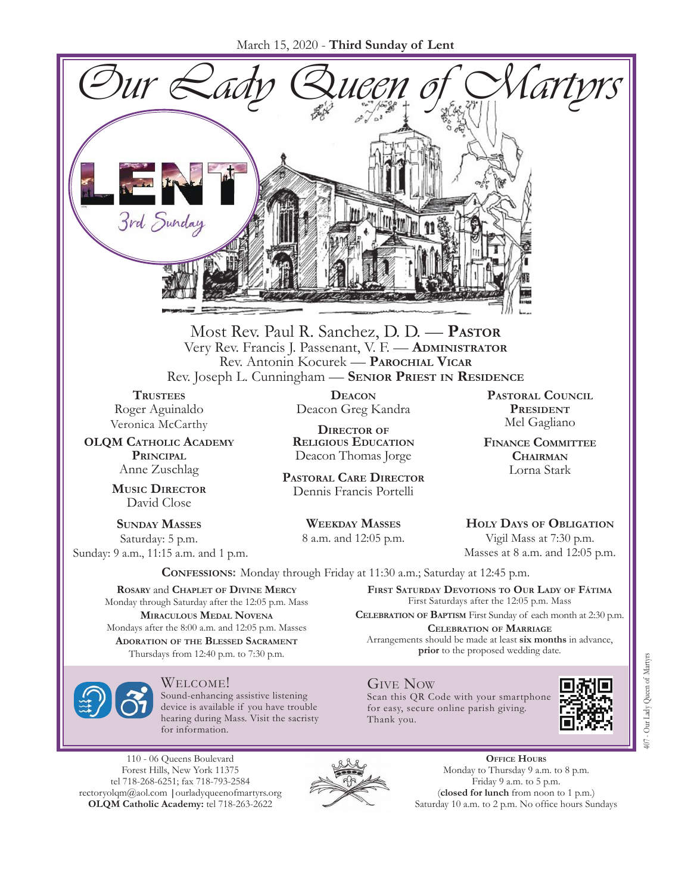March 15, 2020 - **Third Sunday of Lent**



Most Rev. Paul R. Sanchez, D. D. — **Pastor** Very Rev. Francis J. Passenant, V. F. — **Administrator** Rev. Antonin Kocurek — **Parochial Vicar** Rev. Joseph L. Cunningham — **Senior Priest in Residence**

**TRUSTEES** Roger Aguinaldo Veronica McCarthy

**OLQM Catholic Academy Principal** Anne Zuschlag

> **Music Director** David Close

**Sunday Masses** Saturday: 5 p.m. Sunday: 9 a.m., 11:15 a.m. and 1 p.m.

**Deacon** Deacon Greg Kandra

**Director of Religious Education** Deacon Thomas Jorge

**Pastoral Care Director** Dennis Francis Portelli

> **Weekday Masses** 8 a.m. and 12:05 p.m.

**Pastoral Council President** Mel Gagliano

**Finance Committee Chairman** Lorna Stark

**Holy Days of Obligation** Vigil Mass at 7:30 p.m.

Masses at 8 a.m. and 12:05 p.m.

**Confessions:** Monday through Friday at 11:30 a.m.; Saturday at 12:45 p.m.

**Rosary** and **Chaplet of Divine Mercy** Monday through Saturday after the 12:05 p.m. Mass **Miraculous Medal Novena** Mondays after the 8:00 a.m. and 12:05 p.m. Masses **Adoration of the Blessed Sacrament** Thursdays from 12:40 p.m. to 7:30 p.m.

Welcome!

Sound-enhancing assistive listening device is available if you have trouble hearing during Mass. Visit the sacristy for information.

110 - 06 Queens Boulevard Forest Hills, New York 11375 tel 718-268-6251; fax 718-793-2584 [rectoryolqm@aol.com](mailto:rectoryolqm@aol.com) **|**[ourladyqueenofmartyrs.org](www.ourladyqueenofmartyrs.org) **OLQM Catholic Academy:** tel 718-263-2622



**First Saturday Devotions to Our Lady of Fátima** First Saturdays after the 12:05 p.m. Mass

**Celebration of Baptism** First Sunday of each month at 2:30 p.m. **Celebration of Marriage** Arrangements should be made at least **six months** in advance,

**prior** to the proposed wedding date.

#### Give Now

Scan this QR Code with your smartphone for easy, secure online parish giving. Thank you.



**Office Hours** Monday to Thursday 9 a.m. to 8 p.m. Friday 9 a.m. to 5 p.m. (**closed for lunch** from noon to 1 p.m.) Saturday 10 a.m. to 2 p.m. No office hours Sundays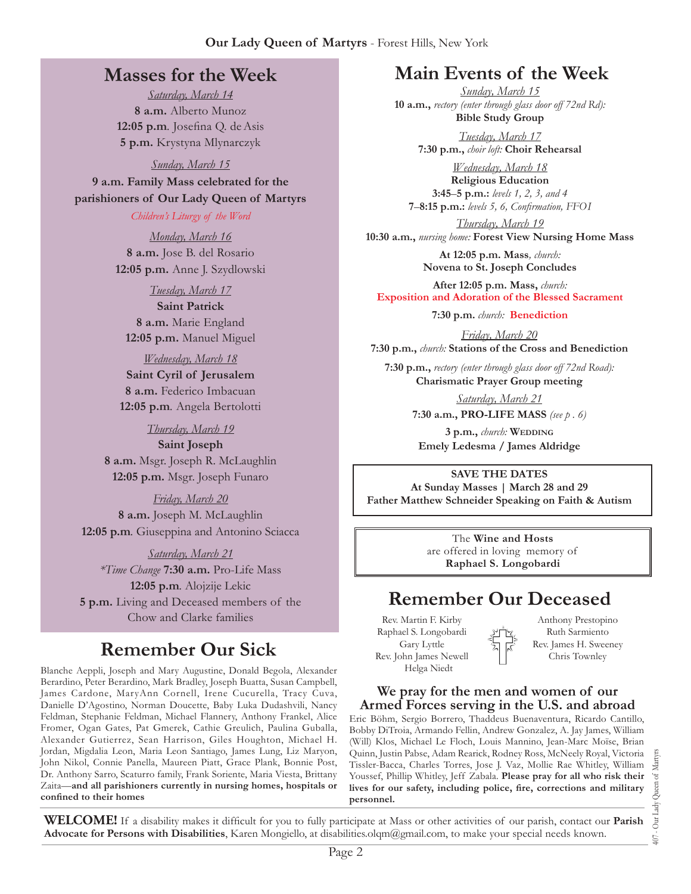# **Masses for the Week**

*Saturday, March 14* **8 a.m.** Alberto Munoz **12:05 p.m***.* Josefina Q. deAsis **5 p.m.** Krystyna Mlynarczyk

*Sunday, March 15*

**9 a.m. Family Mass celebrated for the parishioners of Our Lady Queen of Martyrs**

*Children's Liturgy of the Word* 

*Monday, March 16* **8 a.m.** Jose B. del Rosario **12:05 p.m.** Anne J. Szydlowski

*Tuesday, March 17* **Saint Patrick 8 a.m.** Marie England **12:05 p.m.** Manuel Miguel

*Wednesday, March 18* **Saint Cyril of Jerusalem 8 a.m.** Federico Imbacuan **12:05 p.m***.* Angela Bertolotti

*Thursday, March 19*

**Saint Joseph 8 a.m.** Msgr. Joseph R. McLaughlin **12:05 p.m.** Msgr. Joseph Funaro

*Friday, March 20* **8 a.m.** Joseph M. McLaughlin **12:05 p.m***.* Giuseppina and Antonino Sciacca

*Saturday, March 21 \*Time Change* **7:30 a.m.** Pro-Life Mass **12:05 p.m***.* Alojzije Lekic **5 p.m.** Living and Deceased members of the Chow and Clarke families

# **Remember Our Sick**

Blanche Aeppli, Joseph and Mary Augustine, Donald Begola, Alexander Berardino, Peter Berardino, Mark Bradley, Joseph Buatta, Susan Campbell, James Cardone, MaryAnn Cornell, Irene Cucurella, Tracy Cuva, Danielle D'Agostino, Norman Doucette, Baby Luka Dudashvili, Nancy Feldman, Stephanie Feldman, Michael Flannery, Anthony Frankel, Alice Fromer, Ogan Gates, Pat Gmerek, Cathie Greulich, Paulina Guballa, Alexander Gutierrez, Sean Harrison, Giles Houghton, Michael H. Jordan, Migdalia Leon, Maria Leon Santiago, James Lung, Liz Maryon, John Nikol, Connie Panella, Maureen Piatt, Grace Plank, Bonnie Post, Dr. Anthony Sarro, Scaturro family, Frank Soriente, Maria Viesta, Brittany Zaita—**and all parishioners currently in nursing homes, hospitals or confined to their homes**

# **Main Events of the Week**

*Sunday, March 15* **10 a.m.,** *rectory (enter through glass door off 72nd Rd):* **Bible Study Group**

> *Tuesday, March 17* **7:30 p.m.,** *choir loft:* **Choir Rehearsal**

*Wednesday, March 18* **Religious Education 3:45**–**5 p.m.:** *levels 1, 2, 3, and 4*  **7**–**8:15 p.m.:** *levels 5, 6, Confirmation, FFO  I*

*Thursday, March 19* **10:30 a.m.,** *nursing home:* **Forest View Nursing Home Mass**

> **At 12:05 p.m. Mass***, church:* **Novena to St. Joseph Concludes**

**After 12:05 p.m. Mass,** *church:*  **Exposition and Adoration of the Blessed Sacrament**

**7:30 p.m.** *church:* **Benediction**

*Friday, March 20* **7:30 p.m.,** *church:* **Stations of the Cross and Benediction**

**7:30 p.m.,** *rectory (enter through glass door off 72nd Road):* **Charismatic Prayer Group meeting**

> *Saturday, March 21* **7:30 a.m., PRO-LIFE MASS** *(see p . 6)*

**3 p.m.,** *church:* **Wedding Emely Ledesma / James Aldridge**

**SAVE THE DATES At Sunday Masses | March 28 and 29 Father Matthew Schneider Speaking on Faith & Autism**

> The **Wine and Hosts** are offered in loving memory of **Raphael S. Longobardi**

# **Remember Our Deceased**

Rev. Martin F. Kirby Raphael S. Longobardi Gary Lyttle Rev. John James Newell Helga Niedt

Anthony Prestopino Ruth Sarmiento Rev. James H. Sweeney Chris Townley

**We pray for the men and women of our Armed Forces serving in the U.S. and abroad**

Eric Böhm, Sergio Borrero, Thaddeus Buenaventura, Ricardo Cantillo, Bobby DiTroia, Armando Fellin, Andrew Gonzalez, A. Jay James, William (Will) Klos, Michael Le Floch, Louis Mannino, Jean-Marc Moïse, Brian Quinn, Justin Pabse, Adam Rearick, Rodney Ross, McNeely Royal, Victoria Tissler-Bacca, Charles Torres, Jose J. Vaz, Mollie Rae Whitley, William Youssef, Phillip Whitley, Jeff Zabala. **Please pray for all who risk their lives for our safety, including police, fire, corrections and military personnel.**

**WELCOME!** If a disability makes it difficult for you to fully participate at Mass or other activities of our parish, contact our **Parish Advocate for Persons with Disabilities**, Karen Mongiello, at [disabilities.olqm@gmail.com,](mailto:disabilities.olqm@gmail.com) to make your special needs known.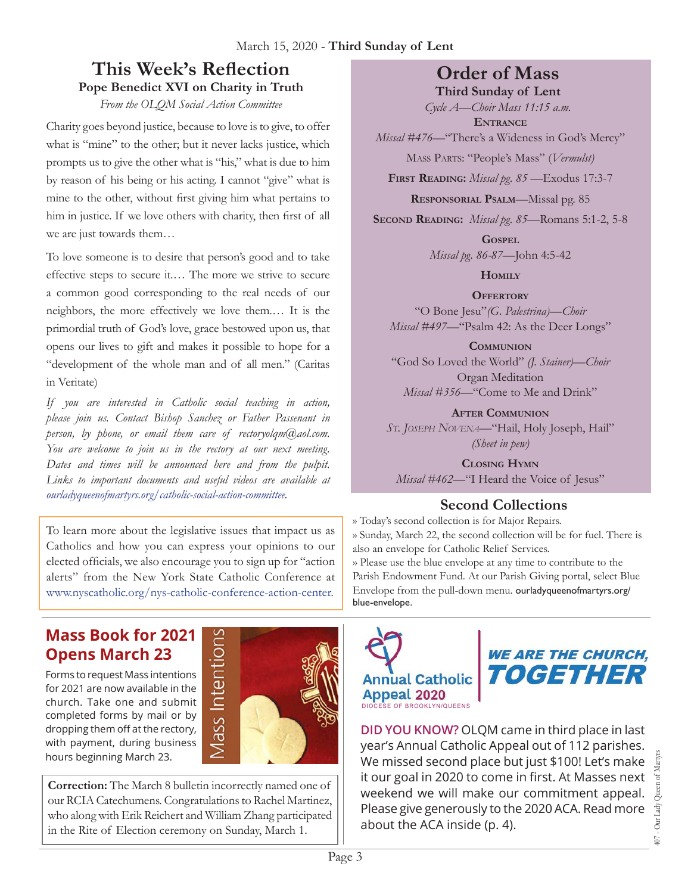# **This Week's Reflection Pope Benedict XVI on Charity in Truth**

*From the OLQM Social Action Committee*

Charity goes beyond justice, because to love is to give, to offer what is "mine" to the other; but it never lacks justice, which prompts us to give the other what is "his," what is due to him by reason of his being or his acting. I cannot "give" what is mine to the other, without first giving him what pertains to him in justice. If we love others with charity, then first of all we are just towards them…

To love someone is to desire that person's good and to take effective steps to secure it.… The more we strive to secure a common good corresponding to the real needs of our neighbors, the more effectively we love them.… It is the primordial truth of God's love, grace bestowed upon us, that opens our lives to gift and makes it possible to hope for a "development of the whole man and of all men." (Caritas in Veritate)

*If you are interested in Catholic social teaching in action, please join us. Contact Bishop Sanchez or Father Passenant in person, by phone, or email them care of rectoryolqm@aol.com. You are welcome to join us in the rectory at our next meeting. Dates and times will be announced here and from the pulpit. Links to important documents and useful videos are available at ourladyqueenofmartyrs.org/catholic-social-action-committee.*

To learn more about the legislative issues that impact us as Catholics and how you can express your opinions to our elected officials, we also encourage you to sign up for "action alerts" from the New York State Catholic Conference at www.nyscatholic.org/nys-catholic-conference-action-center.

# **Order of Mass**

**Third Sunday of Lent**

*Cycle A—Choir Mass 11:15 a.m.* **Entrance**

*Missal #476—*"There's a Wideness in God's Mercy"

Mass Parts: "People's Mass" (*Vermulst)*

**First Reading:** *Missal pg. 85 —*Exodus 17:3-7

**Responsorial Psalm**—Missal pg. 85

**Second Reading:** *Missal pg. 85—*Romans 5:1-2, 5-8

**Gospel** *Missal pg. 86-87—*John 4:5-42

**Homily**

**Offertory** "O Bone Jesu"*(G. Palestrina)—Choir Missal #497—*"Psalm 42: As the Deer Longs"

**Communion** "God So Loved the World" *(J. Stainer)—Choir* Organ Meditation *Missal #356—*"Come to Me and Drink"

**After Communion** *St. Joseph Novena—*"Hail, Holy Joseph, Hail" *(Sheet in pew)*

**Closing Hymn** *Missal #462—*"I Heard the Voice of Jesus"

# **Second Collections**

›› Today's second collection is for Major Repairs. ›› Sunday, March 22, the second collection will be for fuel. There is also an envelope for Catholic Relief Services. ›› Please use the blue envelope at any time to contribute to the Parish Endowment Fund. At our Parish Giving portal, select Blue

Envelope from the pull-down menu. ourladyqueenofmartyrs.org/ blue-envelope.

# **Mass Book for 2021 Opens March 23**

Forms to request Mass intentions for 2021 are now available in the church. Take one and submit completed forms by mail or by dropping them off at the rectory, with payment, during business hours beginning March 23.



**Correction:** The March 8 bulletin incorrectly named one of our RCIA Catechumens. Congratulations to Rachel Martinez, who along with Erik Reichert and William Zhang participated in the Rite of Election ceremony on Sunday, March 1.





**DID YOU KNOW?** OLQM came in third place in last year's Annual Catholic Appeal out of 112 parishes. We missed second place but just \$100! Let's make it our goal in 2020 to come in first. At Masses next weekend we will make our commitment appeal. Please give generously to the 2020 ACA. Read more about the ACA inside (p. 4).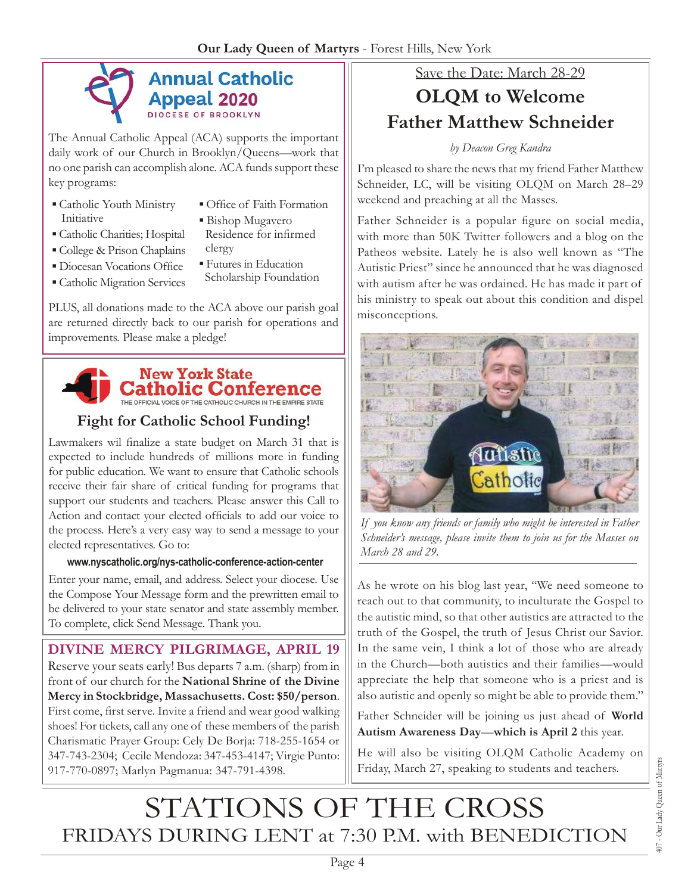

The Annual Catholic Appeal (ACA) supports the important daily work of our Church in Brooklyn/Queens—work that no one parish can accomplish alone. ACA funds support these key programs:

- Catholic Youth Ministry Initiative
- **Office of Faith Formation**
- Catholic Charities; Hospital
- College & Prison Chaplains
- Diocesan Vocations Office
- **Catholic Migration Services**
- **Bishop Mugavero** Residence for infirmed
- clergy ▪ Futures in Education
- Scholarship Foundation

PLUS, all donations made to the ACA above our parish goal are returned directly back to our parish for operations and improvements. Please make a pledge!



# **Fight for Catholic School Funding!**

Lawmakers wil finalize a state budget on March 31 that is expected to include hundreds of millions more in funding for public [education. We](education.We) want to ensure that Catholic schools receive their fair share of critical funding for programs that support our students and teachers. Please answer this Call to Action and contact your elected officials to add our voice to the process. Here's a very easy way to send a message to your elected representatives. Go to:

#### **[www.nyscatholic.org/nys-catholic-conference-action-center](https://www.nyscatholic.org/nys-catholic-conference-action-center/)**

Enter your name, email, and address. Select your diocese. Use the Compose Your Message form and the prewritten email to be delivered to your state senator and state assembly member. To complete, click Send Message. Thank you.

# **DIVINE MERCY PILGRIMAGE, APRIL 19**

Reserve your seats early! Bus departs 7 a.m. (sharp) from in front of our church for the **National Shrine of the Divine Mercy in Stockbridge, Massachusetts. Cost: \$50/person**. First come, first serve. Invite a friend and wear good walking shoes! For tickets, call any one of these members of the parish Charismatic Prayer Group: Cely De Borja: 718-255-1654 or 347-743-2304; Cecile Mendoza: 347-453-4147; Virgie Punto: 917-770-0897; Marlyn Pagmanua: 347-791-4398.

# Save the Date: March 28-29

# **OLQM to Welcome Father Matthew Schneider**

#### *by Deacon Greg Kandra*

I'm pleased to share the news that my friend Father Matthew Schneider, LC, will be visiting OLQM on March 28–29 weekend and preaching at all the Masses.

Father Schneider is a popular figure on social media, with more than 50K Twitter followers and a blog on the Patheos website. Lately he is also well known as "The Autistic Priest" since he announced that he was diagnosed with autism after he was ordained. He has made it part of his ministry to speak out about this condition and dispel misconceptions.



*If you know any friends or family who might be interested in Father Schneider's message, please invite them to join us for the Masses on March 28 and 29.* 

As he wrote on his blog last year, "We need someone to reach out to that community, to inculturate the Gospel to the autistic mind, so that other autistics are attracted to the truth of the Gospel, the truth of Jesus Christ our Savior. In the same vein, I think a lot of those who are already in the Church—both autistics and their families—would appreciate the help that someone who is a priest and is also autistic and openly so might be able to provide them."

Father Schneider will be joining us just ahead of **World Autism Awareness Day**—**which is April 2** this year.

He will also be visiting OLQM Catholic Academy on Friday, March 27, speaking to students and teachers.

# STATIONS OF THE CROSS FRIDAYS DURING LENT at 7:30 P.M. with BENEDICTION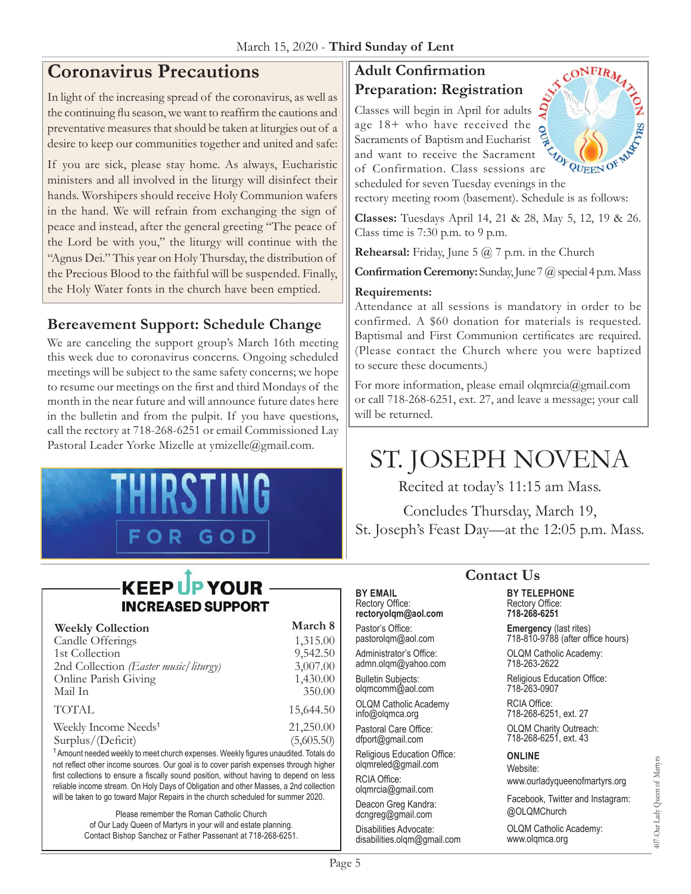# **Coronavirus Precautions**

In light of the increasing spread of the coronavirus, as well as the continuing flu season, we want to reaffirm the cautions and preventative measures that should be taken at liturgies out of a desire to keep our communities together and united and safe:

If you are sick, please stay home. As always, Eucharistic ministers and all involved in the liturgy will disinfect their hands. Worshipers should receive Holy Communion wafers in the hand. We will refrain from exchanging the sign of peace and instead, after the general greeting "The peace of the Lord be with you," the liturgy will continue with the "Agnus Dei." This year on Holy Thursday, the distribution of the Precious Blood to the faithful will be suspended. Finally, the Holy Water fonts in the church have been emptied.

# **Bereavement Support: Schedule Change**

We are canceling the support group's March 16th meeting this week due to coronavirus concerns. Ongoing scheduled meetings will be subject to the same safety concerns; we hope to resume our meetings on the first and third Mondays of the month in the near future and will announce future dates here in the bulletin and from the pulpit. If you have questions, call the rectory at 718-268-6251 or email Commissioned Lay Pastoral Leader Yorke Mizelle at [ymizelle@](mailto:ymizelle@nyc.rr.com)gmail.com.



### **Adult Confirmation Preparation: Registration**

CONFIRMATION<br>
Preparation: Registration<br>
Classes will begin in April for adults<br>
age 18+ who have received the<br>
Sacraments of Baptism and Eucharist<br>
and want to receive the Sacrament<br>
Class sessions are age 18+ who have received the Sacraments of Baptism and Eucharist and want to receive the Sacrament of Confirmation. Class sessions are



scheduled for seven Tuesday evenings in the rectory meeting room (basement). Schedule is as follows:

**Classes:** Tuesdays April 14, 21 & 28, May 5, 12, 19 & 26. Class time is 7:30 p.m. to 9 p.m.

**Rehearsal:** Friday, June 5 @ 7 p.m. in the Church

**Confirmation Ceremony:** Sunday, June 7 @ special 4 p.m. Mass

#### **Requirements:**

**BY EMAIL** Rectory Office: **rectoryolqm@aol.com** Pastor's Office: pastorolqm@aol.com Administrator's Office: admn.olqm@yahoo.com Bulletin Subjects: olqmcomm@aol.com OLQM Catholic Academy info@olqmca.org Pastoral Care Office: dfport@gmail.com Religious Education Office: olqmreled@gmail.com

RCIA Office: [olqmrcia@gmail.com](mailto:olqmrcia@gmail.com) Deacon Greg Kandra: dcngreg@gmail.com Disabilities Advocate: [disabilities.olqm@gmail.com](mailto:disabilities.olqm@gmail.com)

Attendance at all sessions is mandatory in order to be confirmed. A \$60 donation for materials is requested. Baptismal and First Communion certificates are required. (Please contact the Church where you were baptized to secure these documents.)

For more information, please email [olqmrcia@gmail.com](mailto:olqmrcia@gmail.com) or call 718-268-6251, ext. 27, and leave a message; your call will be returned.

# ST. JOSEPH NOVENA

Recited at today's 11:15 am Mass.

Concludes Thursday, March 19, St. Joseph's Feast Day—at the 12:05 p.m. Mass.

# **KEEP UP YOUR INCREASED SUPPORT**

| <b>Weekly Collection</b>                                                             | March 8    |
|--------------------------------------------------------------------------------------|------------|
| Candle Offerings                                                                     | 1,315.00   |
| 1st Collection                                                                       | 9,542.50   |
| 2nd Collection (Easter music/liturgy)                                                | 3,007.00   |
| Online Parish Giving                                                                 | 1,430.00   |
| Mail In                                                                              | 350.00     |
| <b>TOTAL</b>                                                                         | 15,644.50  |
| Weekly Income Needs <sup>1</sup>                                                     | 21,250.00  |
| Surplus/(Deficit)                                                                    | (5,605.50) |
| $1$ Amount pooded wookly to moot church expenses. Wookly figures upsudited Tatals do |            |

<sup>1</sup> Amount needed weekly to meet church expenses. Weekly figures unaudited. Totals do not reflect other income sources. Our goal is to cover parish expenses through higher first collections to ensure a fiscally sound position, without having to depend on less reliable income stream. On Holy Days of Obligation and other Masses, a 2nd collection will be taken to go toward Major Repairs in the church scheduled for summer 2020.

> Please remember the Roman Catholic Church of Our Lady Queen of Martyrs in your will and estate planning. Contact Bishop Sanchez or Father Passenant at 718-268-6251.

# **Contact Us**

**BY TELEPHONE** Rectory Office: **718-268-6251**

**Emergency** (last rites) 718-810-9788 (after office hours)

OLQM Catholic Academy: 718-263-2622

Religious Education Office: 718-263-0907

RCIA Office: 718-268-6251, ext. 27

OLQM Charity Outreach: 718-268-6251, ext. 43

#### **ONLINE**

Website: www.ourladyqueenofmartyrs.org

Facebook, Twitter and Instagram: @OLQMChurch

OLQM Catholic Academy: <www.olqmca.org>